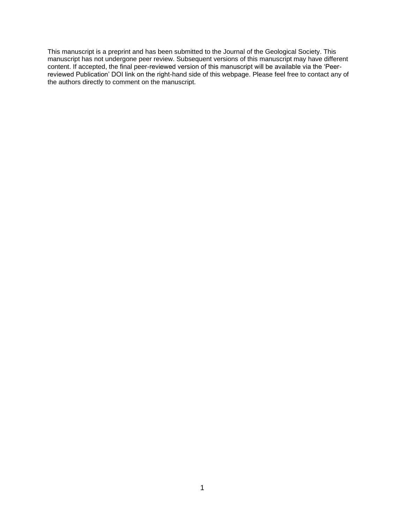This manuscript is a preprint and has been submitted to the Journal of the Geological Society. This manuscript has not undergone peer review. Subsequent versions of this manuscript may have different content. If accepted, the final peer-reviewed version of this manuscript will be available via the 'Peerreviewed Publication' DOI link on the right-hand side of this webpage. Please feel free to contact any of the authors directly to comment on the manuscript.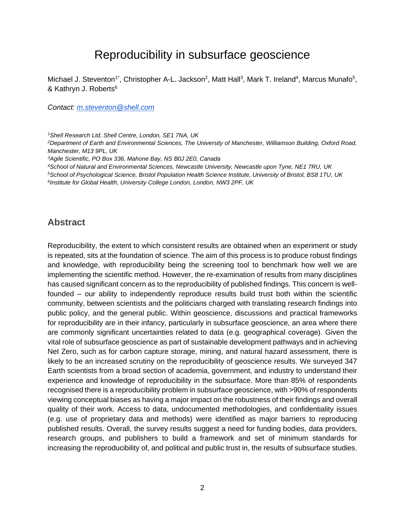# Reproducibility in subsurface geoscience

Michael J. Steventon<sup>1\*</sup>, Christopher A-L. Jackson<sup>2</sup>, Matt Hall<sup>3</sup>, Mark T. Ireland<sup>4</sup>, Marcus Munafo<sup>5</sup>, & Kathryn J. Roberts<sup>6</sup>

*Contact: [m.steventon@shell.com](mailto:m.steventon@shell.com)*

*<sup>1</sup>Shell Research Ltd, Shell Centre, London, SE1 7NA, UK*

*<sup>2</sup>Department of Earth and Environmental Sciences, The University of Manchester, Williamson Building, Oxford Road, Manchester, M13 9PL, UK*

*<sup>3</sup>Agile Scientific, PO Box 336, Mahone Bay, NS B0J 2E0, Canada*

*<sup>4</sup>School of Natural and Environmental Sciences, Newcastle University, Newcastle upon Tyne, NE1 7RU, UK <sup>5</sup>School of Psychological Science, Bristol Population Health Science Institute, University of Bristol, BS8 1TU, UK*

*6 Institute for Global Health, University College London, London, NW3 2PF, UK*

#### **Abstract**

Reproducibility, the extent to which consistent results are obtained when an experiment or study is repeated, sits at the foundation of science. The aim of this process is to produce robust findings and knowledge, with reproducibility being the screening tool to benchmark how well we are implementing the scientific method. However, the re-examination of results from many disciplines has caused significant concern as to the reproducibility of published findings. This concern is wellfounded – our ability to independently reproduce results build trust both within the scientific community, between scientists and the politicians charged with translating research findings into public policy, and the general public. Within geoscience, discussions and practical frameworks for reproducibility are in their infancy, particularly in subsurface geoscience, an area where there are commonly significant uncertainties related to data (e.g. geographical coverage). Given the vital role of subsurface geoscience as part of sustainable development pathways and in achieving Net Zero, such as for carbon capture storage, mining, and natural hazard assessment, there is likely to be an increased scrutiny on the reproducibility of geoscience results. We surveyed 347 Earth scientists from a broad section of academia, government, and industry to understand their experience and knowledge of reproducibility in the subsurface. More than 85% of respondents recognised there is a reproducibility problem in subsurface geoscience, with >90% of respondents viewing conceptual biases as having a major impact on the robustness of their findings and overall quality of their work. Access to data, undocumented methodologies, and confidentiality issues (e.g. use of proprietary data and methods) were identified as major barriers to reproducing published results. Overall, the survey results suggest a need for funding bodies, data providers, research groups, and publishers to build a framework and set of minimum standards for increasing the reproducibility of, and political and public trust in, the results of subsurface studies.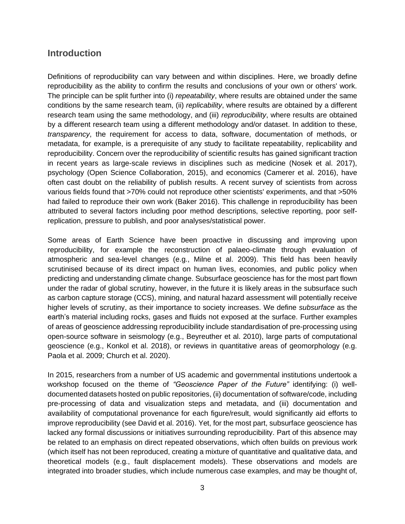## **Introduction**

Definitions of reproducibility can vary between and within disciplines. Here, we broadly define reproducibility as the ability to confirm the results and conclusions of your own or others' work. The principle can be split further into (i) *repeatability*, where results are obtained under the same conditions by the same research team, (ii) *replicability*, where results are obtained by a different research team using the same methodology, and (iii) *reproducibility*, where results are obtained by a different research team using a different methodology and/or dataset. In addition to these, *transparency*, the requirement for access to data, software, documentation of methods, or metadata, for example, is a prerequisite of any study to facilitate repeatability, replicability and reproducibility. Concern over the reproducibility of scientific results has gained significant traction in recent years as large-scale reviews in disciplines such as medicine (Nosek et al. 2017), psychology (Open Science Collaboration, 2015), and economics (Camerer et al. 2016), have often cast doubt on the reliability of publish results. A recent survey of scientists from across various fields found that >70% could not reproduce other scientists' experiments, and that >50% had failed to reproduce their own work (Baker 2016). This challenge in reproducibility has been attributed to several factors including poor method descriptions, selective reporting, poor selfreplication, pressure to publish, and poor analyses/statistical power.

Some areas of Earth Science have been proactive in discussing and improving upon reproducibility, for example the reconstruction of palaeo-climate through evaluation of atmospheric and sea-level changes (e.g., Milne et al. 2009). This field has been heavily scrutinised because of its direct impact on human lives, economies, and public policy when predicting and understanding climate change. Subsurface geoscience has for the most part flown under the radar of global scrutiny, however, in the future it is likely areas in the subsurface such as carbon capture storage (CCS), mining, and natural hazard assessment will potentially receive higher levels of scrutiny, as their importance to society increases. We define *subsurface* as the earth's material including rocks, gases and fluids not exposed at the surface. Further examples of areas of geoscience addressing reproducibility include standardisation of pre-processing using open-source software in seismology (e.g., Beyreuther et al. 2010), large parts of computational geoscience (e.g., Konkol et al. 2018), or reviews in quantitative areas of geomorphology (e.g. Paola et al. 2009; Church et al. 2020).

In 2015, researchers from a number of US academic and governmental institutions undertook a workshop focused on the theme of *"Geoscience Paper of the Future"* identifying: (i) welldocumented datasets hosted on public repositories, (ii) documentation of software/code, including pre-processing of data and visualization steps and metadata, and (iii) documentation and availability of computational provenance for each figure/result, would significantly aid efforts to improve reproducibility (see David et al. 2016). Yet, for the most part, subsurface geoscience has lacked any formal discussions or initiatives surrounding reproducibility. Part of this absence may be related to an emphasis on direct repeated observations, which often builds on previous work (which itself has not been reproduced, creating a mixture of quantitative and qualitative data, and theoretical models (e.g., fault displacement models). These observations and models are integrated into broader studies, which include numerous case examples, and may be thought of,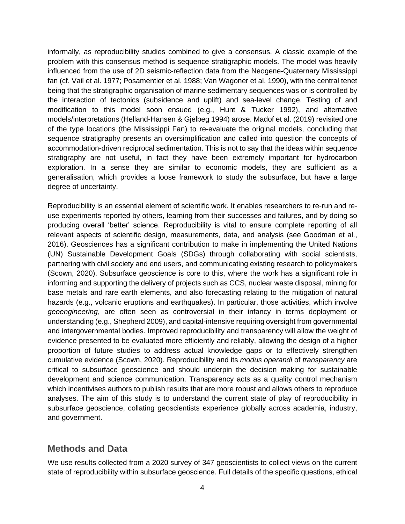informally, as reproducibility studies combined to give a consensus. A classic example of the problem with this consensus method is sequence stratigraphic models. The model was heavily influenced from the use of 2D seismic-reflection data from the Neogene-Quaternary Mississippi fan (cf. Vail et al. 1977; Posamentier et al. 1988; Van Wagoner et al. 1990), with the central tenet being that the stratigraphic organisation of marine sedimentary sequences was or is controlled by the interaction of tectonics (subsidence and uplift) and sea-level change. Testing of and modification to this model soon ensued (e.g., Hunt & Tucker 1992), and alternative models/interpretations (Helland-Hansen & Gjelbeg 1994) arose. Madof et al. (2019) revisited one of the type locations (the Mississippi Fan) to re-evaluate the original models, concluding that sequence stratigraphy presents an oversimplification and called into question the concepts of accommodation-driven reciprocal sedimentation. This is not to say that the ideas within sequence stratigraphy are not useful, in fact they have been extremely important for hydrocarbon exploration. In a sense they are similar to economic models, they are sufficient as a generalisation, which provides a loose framework to study the subsurface, but have a large degree of uncertainty.

Reproducibility is an essential element of scientific work. It enables researchers to re-run and reuse experiments reported by others, learning from their successes and failures, and by doing so producing overall 'better' science. Reproducibility is vital to ensure complete reporting of all relevant aspects of scientific design, measurements, data, and analysis (see Goodman et al., 2016). Geosciences has a significant contribution to make in implementing the United Nations (UN) Sustainable Development Goals (SDGs) through collaborating with social scientists, partnering with civil society and end users, and communicating existing research to policymakers (Scown, 2020). Subsurface geoscience is core to this, where the work has a significant role in informing and supporting the delivery of projects such as CCS, nuclear waste disposal, mining for base metals and rare earth elements, and also forecasting relating to the mitigation of natural hazards (e.g., volcanic eruptions and earthquakes). In particular, those activities, which involve *geoengineering*, are often seen as controversial in their infancy in terms deployment or understanding (e.g., Shepherd 2009), and capital-intensive requiring oversight from governmental and intergovernmental bodies. Improved reproducibility and transparency will allow the weight of evidence presented to be evaluated more efficiently and reliably, allowing the design of a higher proportion of future studies to address actual knowledge gaps or to effectively strengthen cumulative evidence (Scown, 2020). Reproducibility and its *modus operandi* of *transparency* are critical to subsurface geoscience and should underpin the decision making for sustainable development and science communication. Transparency acts as a quality control mechanism which incentivises authors to publish results that are more robust and allows others to reproduce analyses. The aim of this study is to understand the current state of play of reproducibility in subsurface geoscience, collating geoscientists experience globally across academia, industry, and government.

### **Methods and Data**

We use results collected from a 2020 survey of 347 geoscientists to collect views on the current state of reproducibility within subsurface geoscience. Full details of the specific questions, ethical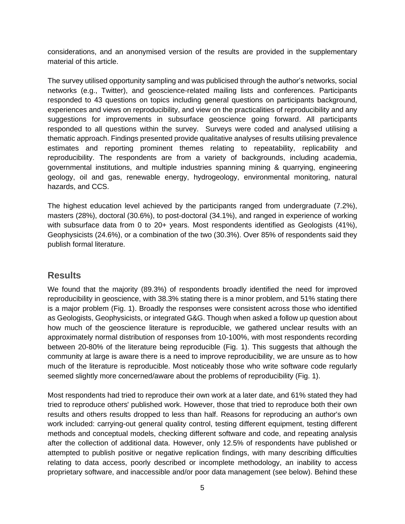considerations, and an anonymised version of the results are provided in the supplementary material of this article.

The survey utilised opportunity sampling and was publicised through the author's networks, social networks (e.g., Twitter), and geoscience-related mailing lists and conferences. Participants responded to 43 questions on topics including general questions on participants background, experiences and views on reproducibility, and view on the practicalities of reproducibility and any suggestions for improvements in subsurface geoscience going forward. All participants responded to all questions within the survey. Surveys were coded and analysed utilising a thematic approach. Findings presented provide qualitative analyses of results utilising prevalence estimates and reporting prominent themes relating to repeatability, replicability and reproducibility. The respondents are from a variety of backgrounds, including academia, governmental institutions, and multiple industries spanning mining & quarrying, engineering geology, oil and gas, renewable energy, hydrogeology, environmental monitoring, natural hazards, and CCS.

The highest education level achieved by the participants ranged from undergraduate (7.2%), masters (28%), doctoral (30.6%), to post-doctoral (34.1%), and ranged in experience of working with subsurface data from 0 to 20+ years. Most respondents identified as Geologists (41%), Geophysicists (24.6%), or a combination of the two (30.3%). Over 85% of respondents said they publish formal literature.

### **Results**

We found that the majority (89.3%) of respondents broadly identified the need for improved reproducibility in geoscience, with 38.3% stating there is a minor problem, and 51% stating there is a major problem (Fig. 1). Broadly the responses were consistent across those who identified as Geologists, Geophysicists, or integrated G&G. Though when asked a follow up question about how much of the geoscience literature is reproducible, we gathered unclear results with an approximately normal distribution of responses from 10-100%, with most respondents recording between 20-80% of the literature being reproducible (Fig. 1). This suggests that although the community at large is aware there is a need to improve reproducibility, we are unsure as to how much of the literature is reproducible. Most noticeably those who write software code regularly seemed slightly more concerned/aware about the problems of reproducibility (Fig. 1).

Most respondents had tried to reproduce their own work at a later date, and 61% stated they had tried to reproduce others' published work. However, those that tried to reproduce both their own results and others results dropped to less than half. Reasons for reproducing an author's own work included: carrying-out general quality control, testing different equipment, testing different methods and conceptual models, checking different software and code, and repeating analysis after the collection of additional data. However, only 12.5% of respondents have published or attempted to publish positive or negative replication findings, with many describing difficulties relating to data access, poorly described or incomplete methodology, an inability to access proprietary software, and inaccessible and/or poor data management (see below). Behind these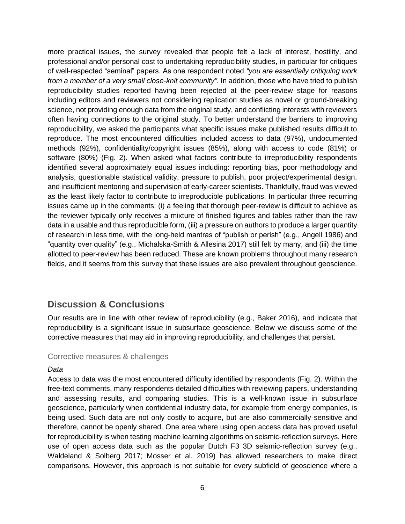more practical issues, the survey revealed that people felt a lack of interest, hostility, and professional and/or personal cost to undertaking reproducibility studies, in particular for critiques of well-respected "seminal" papers. As one respondent noted *"you are essentially critiquing work from a member of a very small close-knit community"*. In addition, those who have tried to publish reproducibility studies reported having been rejected at the peer-review stage for reasons including editors and reviewers not considering replication studies as novel or ground-breaking science, not providing enough data from the original study, and conflicting interests with reviewers often having connections to the original study. To better understand the barriers to improving reproducibility, we asked the participants what specific issues make published results difficult to reproduce. The most encountered difficulties included access to data (97%), undocumented methods (92%), confidentiality/copyright issues (85%), along with access to code (81%) or software (80%) (Fig. 2). When asked what factors contribute to irreproducibility respondents identified several approximately equal issues including: reporting bias, poor methodology and analysis, questionable statistical validity, pressure to publish, poor project/experimental design, and insufficient mentoring and supervision of early-career scientists. Thankfully, fraud was viewed as the least likely factor to contribute to irreproducible publications. In particular three recurring issues came up in the comments: (i) a feeling that thorough peer-review is difficult to achieve as the reviewer typically only receives a mixture of finished figures and tables rather than the raw data in a usable and thus reproducible form, (iii) a pressure on authors to produce a larger quantity of research in less time, with the long-held mantras of "publish or perish" (e.g., Angell 1986) and "quantity over quality" (e.g., Michalska-Smith & Allesina 2017) still felt by many, and (iii) the time allotted to peer-review has been reduced. These are known problems throughout many research fields, and it seems from this survey that these issues are also prevalent throughout geoscience.

### **Discussion & Conclusions**

Our results are in line with other review of reproducibility (e.g., Baker 2016), and indicate that reproducibility is a significant issue in subsurface geoscience. Below we discuss some of the corrective measures that may aid in improving reproducibility, and challenges that persist.

#### Corrective measures & challenges

#### *Data*

Access to data was the most encountered difficulty identified by respondents (Fig. 2). Within the free-text comments, many respondents detailed difficulties with reviewing papers, understanding and assessing results, and comparing studies. This is a well-known issue in subsurface geoscience, particularly when confidential industry data, for example from energy companies, is being used. Such data are not only costly to acquire, but are also commercially sensitive and therefore, cannot be openly shared. One area where using open access data has proved useful for reproducibility is when testing machine learning algorithms on seismic-reflection surveys. Here use of open access data such as the popular Dutch F3 3D seismic-reflection survey (e.g., Waldeland & Solberg 2017; Mosser et al. 2019) has allowed researchers to make direct comparisons. However, this approach is not suitable for every subfield of geoscience where a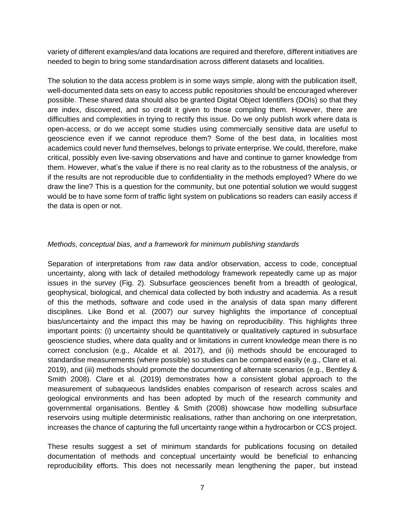variety of different examples/and data locations are required and therefore, different initiatives are needed to begin to bring some standardisation across different datasets and localities.

The solution to the data access problem is in some ways simple, along with the publication itself, well-documented data sets on easy to access public repositories should be encouraged wherever possible. These shared data should also be granted Digital Object Identifiers (DOIs) so that they are index, discovered, and so credit it given to those compiling them. However, there are difficulties and complexities in trying to rectify this issue. Do we only publish work where data is open-access, or do we accept some studies using commercially sensitive data are useful to geoscience even if we cannot reproduce them? Some of the best data, in localities most academics could never fund themselves, belongs to private enterprise. We could, therefore, make critical, possibly even live-saving observations and have and continue to garner knowledge from them. However, what's the value if there is no real clarity as to the robustness of the analysis, or if the results are not reproducible due to confidentiality in the methods employed? Where do we draw the line? This is a question for the community, but one potential solution we would suggest would be to have some form of traffic light system on publications so readers can easily access if the data is open or not.

#### *Methods, conceptual bias, and a framework for minimum publishing standards*

Separation of interpretations from raw data and/or observation, access to code, conceptual uncertainty, along with lack of detailed methodology framework repeatedly came up as major issues in the survey (Fig. 2). Subsurface geosciences benefit from a breadth of geological, geophysical, biological, and chemical data collected by both industry and academia. As a result of this the methods, software and code used in the analysis of data span many different disciplines. Like Bond et al. (2007) our survey highlights the importance of conceptual bias/uncertainty and the impact this may be having on reproducibility. This highlights three important points: (i) uncertainty should be quantitatively or qualitatively captured in subsurface geoscience studies, where data quality and or limitations in current knowledge mean there is no correct conclusion (e.g., Alcalde et al. 2017), and (ii) methods should be encouraged to standardise measurements (where possible) so studies can be compared easily (e.g., Clare et al. 2019), and (iii) methods should promote the documenting of alternate scenarios (e.g., Bentley & Smith 2008). Clare et al. (2019) demonstrates how a consistent global approach to the measurement of subaqueous landslides enables comparison of research across scales and geological environments and has been adopted by much of the research community and governmental organisations. Bentley & Smith (2008) showcase how modelling subsurface reservoirs using multiple deterministic realisations, rather than anchoring on one interpretation, increases the chance of capturing the full uncertainty range within a hydrocarbon or CCS project.

These results suggest a set of minimum standards for publications focusing on detailed documentation of methods and conceptual uncertainty would be beneficial to enhancing reproducibility efforts. This does not necessarily mean lengthening the paper, but instead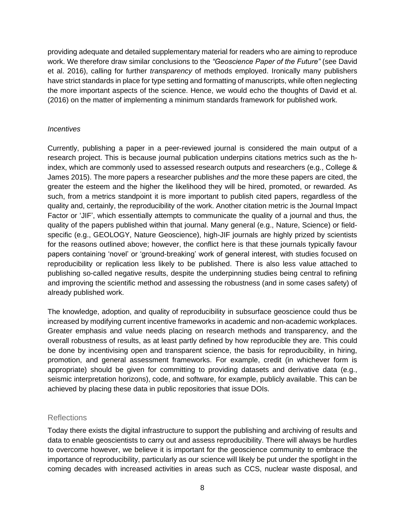providing adequate and detailed supplementary material for readers who are aiming to reproduce work. We therefore draw similar conclusions to the *"Geoscience Paper of the Future"* (see David et al. 2016), calling for further *transparency* of methods employed. Ironically many publishers have strict standards in place for type setting and formatting of manuscripts, while often neglecting the more important aspects of the science. Hence, we would echo the thoughts of David et al. (2016) on the matter of implementing a minimum standards framework for published work.

#### *Incentives*

Currently, publishing a paper in a peer-reviewed journal is considered the main output of a research project. This is because journal publication underpins citations metrics such as the hindex, which are commonly used to assessed research outputs and researchers (e.g., College & James 2015). The more papers a researcher publishes *and* the more these papers are cited, the greater the esteem and the higher the likelihood they will be hired, promoted, or rewarded. As such, from a metrics standpoint it is more important to publish cited papers, regardless of the quality and, certainly, the reproducibility of the work. Another citation metric is the Journal Impact Factor or 'JIF', which essentially attempts to communicate the quality of a journal and thus, the quality of the papers published within that journal. Many general (e.g., Nature, Science) or fieldspecific (e.g., GEOLOGY, Nature Geoscience), high-JIF journals are highly prized by scientists for the reasons outlined above; however, the conflict here is that these journals typically favour papers containing 'novel' or 'ground-breaking' work of general interest, with studies focused on reproducibility or replication less likely to be published. There is also less value attached to publishing so-called negative results, despite the underpinning studies being central to refining and improving the scientific method and assessing the robustness (and in some cases safety) of already published work.

The knowledge, adoption, and quality of reproducibility in subsurface geoscience could thus be increased by modifying current incentive frameworks in academic and non-academic workplaces. Greater emphasis and value needs placing on research methods and transparency, and the overall robustness of results, as at least partly defined by how reproducible they are. This could be done by incentivising open and transparent science, the basis for reproducibility, in hiring, promotion, and general assessment frameworks. For example, credit (in whichever form is appropriate) should be given for committing to providing datasets and derivative data (e.g., seismic interpretation horizons), code, and software, for example, publicly available. This can be achieved by placing these data in public repositories that issue DOIs.

#### **Reflections**

Today there exists the digital infrastructure to support the publishing and archiving of results and data to enable geoscientists to carry out and assess reproducibility. There will always be hurdles to overcome however, we believe it is important for the geoscience community to embrace the importance of reproducibility, particularly as our science will likely be put under the spotlight in the coming decades with increased activities in areas such as CCS, nuclear waste disposal, and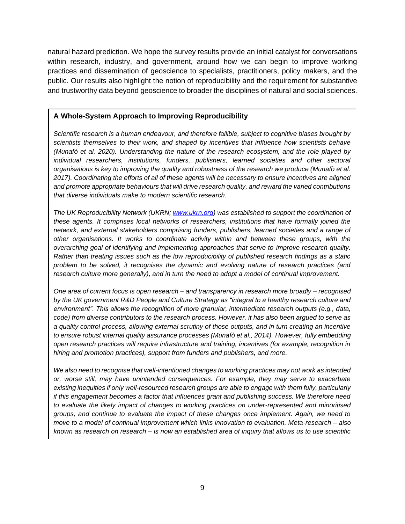natural hazard prediction. We hope the survey results provide an initial catalyst for conversations within research, industry, and government, around how we can begin to improve working practices and dissemination of geoscience to specialists, practitioners, policy makers, and the public. Our results also highlight the notion of reproducibility and the requirement for substantive and trustworthy data beyond geoscience to broader the disciplines of natural and social sciences.

#### **A Whole-System Approach to Improving Reproducibility**

*Scientific research is a human endeavour, and therefore fallible, subject to cognitive biases brought by scientists themselves to their work, and shaped by incentives that influence how scientists behave (Munafò et al. 2020). Understanding the nature of the research ecosystem, and the role played by individual researchers, institutions, funders, publishers, learned societies and other sectoral organisations is key to improving the quality and robustness of the research we produce (Munafò et al. 2017). Coordinating the efforts of all of these agents will be necessary to ensure incentives are aligned and promote appropriate behaviours that will drive research quality, and reward the varied contributions that diverse individuals make to modern scientific research.*

*The UK Reproducibility Network (UKRN; [www.ukrn.org\)](http://www.ukrn.org/) was established to support the coordination of these agents. It comprises local networks of researchers, institutions that have formally joined the network, and external stakeholders comprising funders, publishers, learned societies and a range of other organisations. It works to coordinate activity within and between these groups, with the overarching goal of identifying and implementing approaches that serve to improve research quality. Rather than treating issues such as the low reproducibility of published research findings as a static problem to be solved, it recognises the dynamic and evolving nature of research practices (and research culture more generally), and in turn the need to adopt a model of continual improvement.*

*One area of current focus is open research – and transparency in research more broadly – recognised by the UK government R&D People and Culture Strategy as "integral to a healthy research culture and environment". This allows the recognition of more granular, intermediate research outputs (e.g., data, code) from diverse contributors to the research process. However, it has also been argued to serve as a quality control process, allowing external scrutiny of those outputs, and in turn creating an incentive to ensure robust internal quality assurance processes (Munafò et al., 2014). However, fully embedding open research practices will require infrastructure and training, incentives (for example, recognition in hiring and promotion practices), support from funders and publishers, and more.*

*We also need to recognise that well-intentioned changes to working practices may not work as intended or, worse still, may have unintended consequences. For example, they may serve to exacerbate existing inequities if only well-resourced research groups are able to engage with them fully, particularly if this engagement becomes a factor that influences grant and publishing success. We therefore need to evaluate the likely impact of changes to working practices on under-represented and minoritised groups, and continue to evaluate the impact of these changes once implement. Again, we need to move to a model of continual improvement which links innovation to evaluation. Meta-research – also known as research on research – is now an established area of inquiry that allows us to use scientific*

to understand (and improved) the provence itself. Supporting this activity will be central be central be central be central be central be central be central be central be central be central be central be central be centra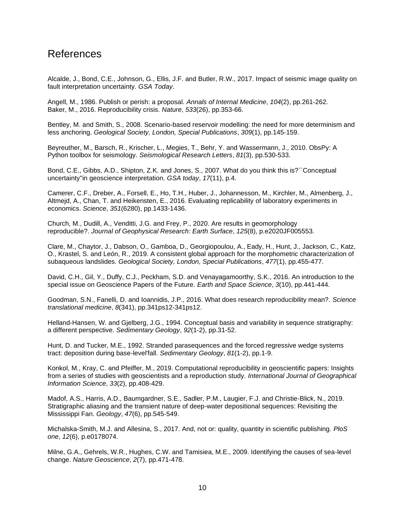## References

Alcalde, J., Bond, C.E., Johnson, G., Ellis, J.F. and Butler, R.W., 2017. Impact of seismic image quality on fault interpretation uncertainty. *GSA Today*.

Angell, M., 1986. Publish or perish: a proposal. *Annals of Internal Medicine*, *104*(2), pp.261-262. Baker, M., 2016. Reproducibility crisis. *Nature*, *533*(26), pp.353-66.

Bentley, M. and Smith, S., 2008. Scenario-based reservoir modelling: the need for more determinism and less anchoring. *Geological Society, London, Special Publications*, *309*(1), pp.145-159.

Beyreuther, M., Barsch, R., Krischer, L., Megies, T., Behr, Y. and Wassermann, J., 2010. ObsPy: A Python toolbox for seismology. *Seismological Research Letters*, *81*(3), pp.530-533.

Bond, C.E., Gibbs, A.D., Shipton, Z.K. and Jones, S., 2007. What do you think this is?``Conceptual uncertainty''in geoscience interpretation. *GSA today*, *17*(11), p.4.

Camerer, C.F., Dreber, A., Forsell, E., Ho, T.H., Huber, J., Johannesson, M., Kirchler, M., Almenberg, J., Altmejd, A., Chan, T. and Heikensten, E., 2016. Evaluating replicability of laboratory experiments in economics. *Science*, *351*(6280), pp.1433-1436.

Church, M., Dudill, A., Venditti, J.G. and Frey, P., 2020. Are results in geomorphology reproducible?. *Journal of Geophysical Research: Earth Surface*, *125*(8), p.e2020JF005553.

Clare, M., Chaytor, J., Dabson, O., Gamboa, D., Georgiopoulou, A., Eady, H., Hunt, J., Jackson, C., Katz, O., Krastel, S. and León, R., 2019. A consistent global approach for the morphometric characterization of subaqueous landslides. *Geological Society, London, Special Publications*, *477*(1), pp.455-477.

David, C.H., Gil, Y., Duffy, C.J., Peckham, S.D. and Venayagamoorthy, S.K., 2016. An introduction to the special issue on Geoscience Papers of the Future. *Earth and Space Science*, *3*(10), pp.441-444.

Goodman, S.N., Fanelli, D. and Ioannidis, J.P., 2016. What does research reproducibility mean?. *Science translational medicine*, *8*(341), pp.341ps12-341ps12.

Helland-Hansen, W. and Gjelberg, J.G., 1994. Conceptual basis and variability in sequence stratigraphy: a different perspective. *Sedimentary Geology*, *92*(1-2), pp.31-52.

Hunt, D. and Tucker, M.E., 1992. Stranded parasequences and the forced regressive wedge systems tract: deposition during base-level'fall. *Sedimentary Geology*, *81*(1-2), pp.1-9.

Konkol, M., Kray, C. and Pfeiffer, M., 2019. Computational reproducibility in geoscientific papers: Insights from a series of studies with geoscientists and a reproduction study. *International Journal of Geographical Information Science*, *33*(2), pp.408-429.

Madof, A.S., Harris, A.D., Baumgardner, S.E., Sadler, P.M., Laugier, F.J. and Christie-Blick, N., 2019. Stratigraphic aliasing and the transient nature of deep-water depositional sequences: Revisiting the Mississippi Fan. *Geology*, *47*(6), pp.545-549.

Michalska-Smith, M.J. and Allesina, S., 2017. And, not or: quality, quantity in scientific publishing. *PloS one*, *12*(6), p.e0178074.

Milne, G.A., Gehrels, W.R., Hughes, C.W. and Tamisiea, M.E., 2009. Identifying the causes of sea-level change. *Nature Geoscience*, *2*(7), pp.471-478.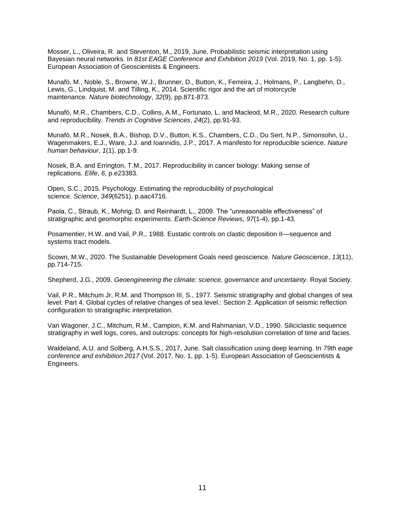Mosser, L., Oliveira, R. and Steventon, M., 2019, June. Probabilistic seismic interpretation using Bayesian neural networks. In *81st EAGE Conference and Exhibition 2019* (Vol. 2019, No. 1, pp. 1-5). European Association of Geoscientists & Engineers.

Munafò, M., Noble, S., Browne, W.J., Brunner, D., Button, K., Ferreira, J., Holmans, P., Langbehn, D., Lewis, G., Lindquist, M. and Tilling, K., 2014. Scientific rigor and the art of motorcycle maintenance. *Nature biotechnology*, *32*(9), pp.871-873.

Munafò, M.R., Chambers, C.D., Collins, A.M., Fortunato, L. and Macleod, M.R., 2020. Research culture and reproducibility. *Trends in Cognitive Sciences*, *24*(2), pp.91-93.

Munafò, M.R., Nosek, B.A., Bishop, D.V., Button, K.S., Chambers, C.D., Du Sert, N.P., Simonsohn, U., Wagenmakers, E.J., Ware, J.J. and Ioannidis, J.P., 2017. A manifesto for reproducible science. *Nature human behaviour*, *1*(1), pp.1-9.

Nosek, B.A. and Errington, T.M., 2017. Reproducibility in cancer biology: Making sense of replications. *Elife*, *6*, p.e23383.

Open, S.C., 2015. Psychology. Estimating the reproducibility of psychological science. *Science*, *349*(6251), p.aac4716.

Paola, C., Straub, K., Mohrig, D. and Reinhardt, L., 2009. The "unreasonable effectiveness" of stratigraphic and geomorphic experiments. *Earth-Science Reviews*, *97*(1-4), pp.1-43.

Posamentier, H.W. and Vail, P.R., 1988. Eustatic controls on clastic deposition II—sequence and systems tract models.

Scown, M.W., 2020. The Sustainable Development Goals need geoscience. *Nature Geoscience*, *13*(11), pp.714-715.

Shepherd, J.G., 2009. *Geoengineering the climate: science, governance and uncertainty*. Royal Society.

Vail, P.R., Mitchum Jr, R.M. and Thompson III, S., 1977. Seismic stratigraphy and global changes of sea level: Part 4. Global cycles of relative changes of sea level.: Section 2. Application of seismic reflection configuration to stratigraphic interpretation.

Van Wagoner, J.C., Mitchum, R.M., Campion, K.M. and Rahmanian, V.D., 1990. Siliciclastic sequence stratigraphy in well logs, cores, and outcrops: concepts for high-resolution correlation of time and facies.

Waldeland, A.U. and Solberg, A.H.S.S., 2017, June. Salt classification using deep learning. In *79th eage conference and exhibition 2017* (Vol. 2017, No. 1, pp. 1-5). European Association of Geoscientists & Engineers.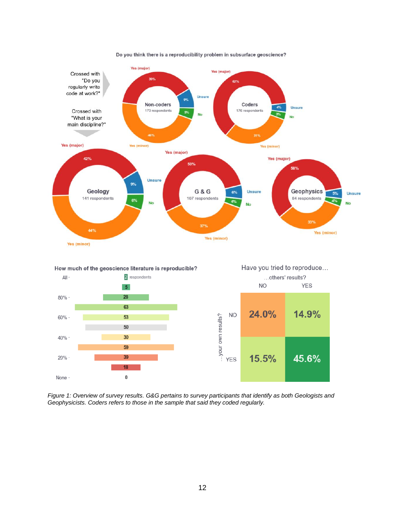

Do you think there is a reproducibility problem in subsurface geoscience?



24.0%

**NO** 

14.9%

*Figure 1: Overview of survey results. G&G pertains to survey participants that identify as both Geologists and Geophysicists. Coders refers to those in the sample that said they coded regularly.*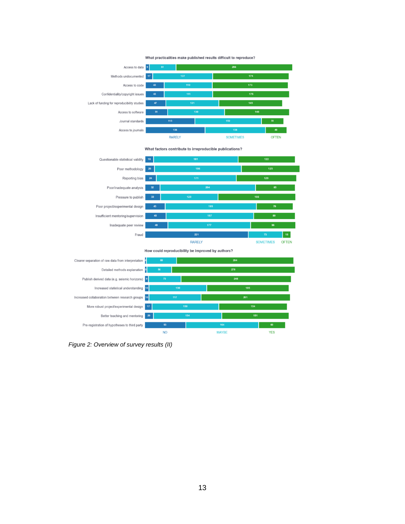

What factors contribute to irreproducible publications?



How could reproducibility be improved by authors?



*Figure 2: Overview of survey results (II)*